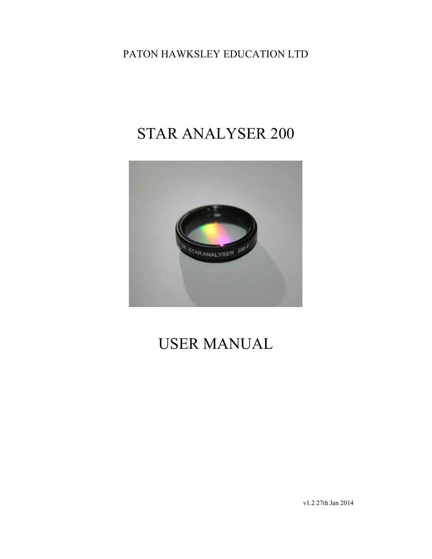PATON HAWKSLEY EDUCATION LTD

# STAR ANALYSER 200



# USER MANUAL

v1.2 27th Jan 2014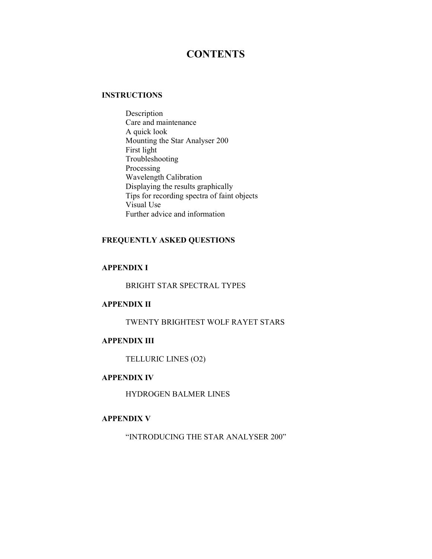# **CONTENTS**

## **INSTRUCTIONS**

Description Care and maintenance A quick look Mounting the Star Analyser 200 First light Troubleshooting Processing Wavelength Calibration Displaying the results graphically Tips for recording spectra of faint objects Visual Use Further advice and information

# **FREQUENTLY ASKED QUESTIONS**

# **APPENDIX I**

BRIGHT STAR SPECTRAL TYPES

# **APPENDIX II**

TWENTY BRIGHTEST WOLF RAYET STARS

## **APPENDIX III**

TELLURIC LINES (O2)

# **APPENDIX IV**

HYDROGEN BALMER LINES

# **APPENDIX V**

"INTRODUCING THE STAR ANALYSER 200"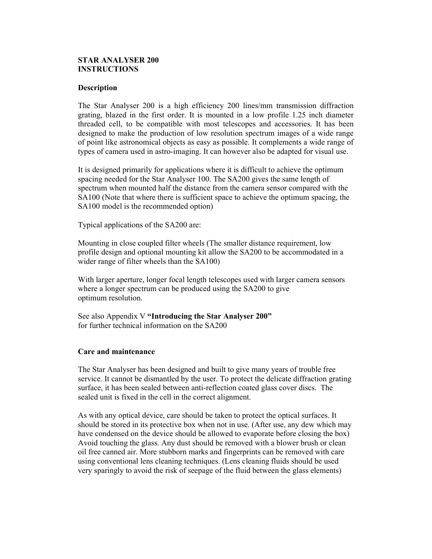# **STAR ANALYSER 200 INSTRUCTIONS**

## **Description**

The Star Analyser 200 is a high efficiency 200 lines/mm transmission diffraction grating, blazed in the first order. It is mounted in a low profile 1.25 inch diameter threaded cell, to be compatible with most telescopes and accessories. It has been designed to make the production of low resolution spectrum images of a wide range of point like astronomical objects as easy as possible. It complements a wide range of types of camera used in astro-imaging. It can however also be adapted for visual use.

It is designed primarily for applications where it is difficult to achieve the optimum spacing needed for the Star Analyser 100. The SA200 gives the same length of spectrum when mounted half the distance from the camera sensor compared with the SA100 (Note that where there is sufficient space to achieve the optimum spacing, the SA100 model is the recommended option)

Typical applications of the SA200 are:

Mounting in close coupled filter wheels (The smaller distance requirement, low profile design and optional mounting kit allow the SA200 to be accommodated in a wider range of filter wheels than the SA100)

With larger aperture, longer focal length telescopes used with larger camera sensors where a longer spectrum can be produced using the SA200 to give optimum resolution.

See also Appendix V **"Introducing the Star Analyser 200"**  for further technical information on the SA200

# **Care and maintenance**

The Star Analyser has been designed and built to give many years of trouble free service. It cannot be dismantled by the user. To protect the delicate diffraction grating surface, it has been sealed between anti-reflection coated glass cover discs. The sealed unit is fixed in the cell in the correct alignment.

As with any optical device, care should be taken to protect the optical surfaces. It should be stored in its protective box when not in use. (After use, any dew which may have condensed on the device should be allowed to evaporate before closing the box) Avoid touching the glass. Any dust should be removed with a blower brush or clean oil free canned air. More stubborn marks and fingerprints can be removed with care using conventional lens cleaning techniques. (Lens cleaning fluids should be used very sparingly to avoid the risk of seepage of the fluid between the glass elements)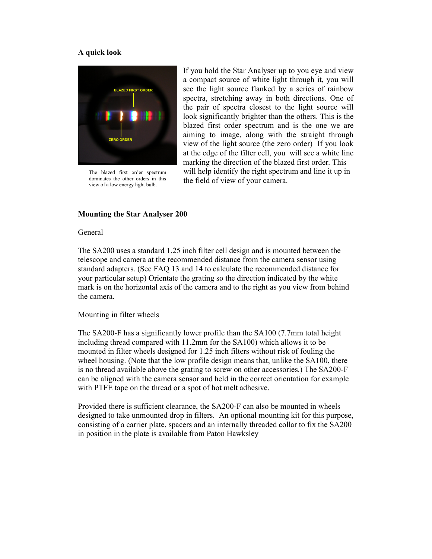## **A quick look**



The blazed first order spectrum dominates the other orders in this view of a low energy light bulb.

If you hold the Star Analyser up to you eye and view a compact source of white light through it, you will see the light source flanked by a series of rainbow spectra, stretching away in both directions. One of the pair of spectra closest to the light source will look significantly brighter than the others. This is the blazed first order spectrum and is the one we are aiming to image, along with the straight through view of the light source (the zero order) If you look at the edge of the filter cell, you will see a white line marking the direction of the blazed first order. This will help identify the right spectrum and line it up in the field of view of your camera.

## **Mounting the Star Analyser 200**

## General

The SA200 uses a standard 1.25 inch filter cell design and is mounted between the telescope and camera at the recommended distance from the camera sensor using standard adapters. (See FAQ 13 and 14 to calculate the recommended distance for your particular setup) Orientate the grating so the direction indicated by the white mark is on the horizontal axis of the camera and to the right as you view from behind the camera.

## Mounting in filter wheels

The SA200-F has a significantly lower profile than the SA100 (7.7mm total height including thread compared with 11.2mm for the SA100) which allows it to be mounted in filter wheels designed for 1.25 inch filters without risk of fouling the wheel housing. (Note that the low profile design means that, unlike the SA100, there is no thread available above the grating to screw on other accessories.) The SA200-F can be aligned with the camera sensor and held in the correct orientation for example with PTFE tape on the thread or a spot of hot melt adhesive.

Provided there is sufficient clearance, the SA200-F can also be mounted in wheels designed to take unmounted drop in filters. An optional mounting kit for this purpose, consisting of a carrier plate, spacers and an internally threaded collar to fix the SA200 in position in the plate is available from Paton Hawksley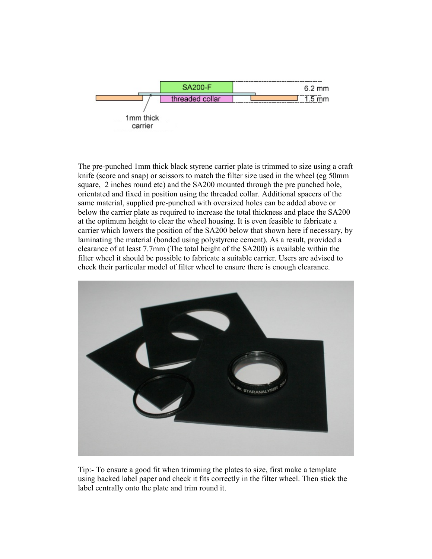

The pre-punched 1mm thick black styrene carrier plate is trimmed to size using a craft knife (score and snap) or scissors to match the filter size used in the wheel (eg 50mm square, 2 inches round etc) and the SA200 mounted through the pre punched hole, orientated and fixed in position using the threaded collar. Additional spacers of the same material, supplied pre-punched with oversized holes can be added above or below the carrier plate as required to increase the total thickness and place the SA200 at the optimum height to clear the wheel housing. It is even feasible to fabricate a carrier which lowers the position of the SA200 below that shown here if necessary, by laminating the material (bonded using polystyrene cement). As a result, provided a clearance of at least 7.7mm (The total height of the SA200) is available within the filter wheel it should be possible to fabricate a suitable carrier. Users are advised to check their particular model of filter wheel to ensure there is enough clearance.



Tip:- To ensure a good fit when trimming the plates to size, first make a template using backed label paper and check it fits correctly in the filter wheel. Then stick the label centrally onto the plate and trim round it.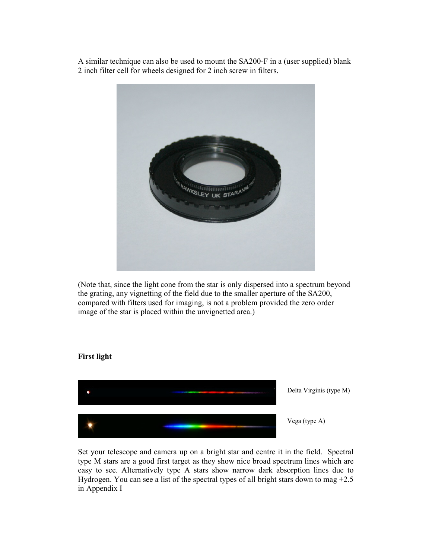A similar technique can also be used to mount the SA200-F in a (user supplied) blank 2 inch filter cell for wheels designed for 2 inch screw in filters.



(Note that, since the light cone from the star is only dispersed into a spectrum beyond the grating, any vignetting of the field due to the smaller aperture of the SA200, compared with filters used for imaging, is not a problem provided the zero order image of the star is placed within the unvignetted area.)

## **First light**



Set your telescope and camera up on a bright star and centre it in the field. Spectral type M stars are a good first target as they show nice broad spectrum lines which are easy to see. Alternatively type A stars show narrow dark absorption lines due to Hydrogen. You can see a list of the spectral types of all bright stars down to mag +2.5 in Appendix I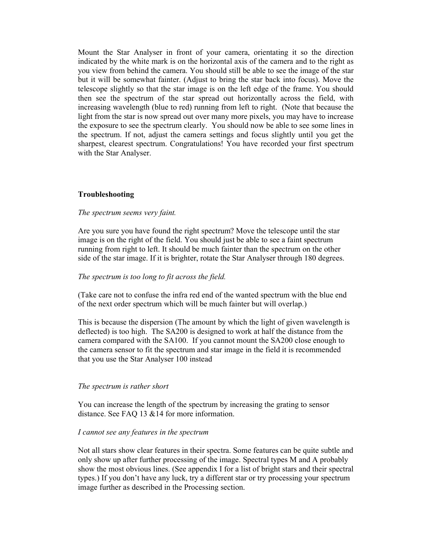Mount the Star Analyser in front of your camera, orientating it so the direction indicated by the white mark is on the horizontal axis of the camera and to the right as you view from behind the camera. You should still be able to see the image of the star but it will be somewhat fainter. (Adjust to bring the star back into focus). Move the telescope slightly so that the star image is on the left edge of the frame. You should then see the spectrum of the star spread out horizontally across the field, with increasing wavelength (blue to red) running from left to right. (Note that because the light from the star is now spread out over many more pixels, you may have to increase the exposure to see the spectrum clearly. You should now be able to see some lines in the spectrum. If not, adjust the camera settings and focus slightly until you get the sharpest, clearest spectrum. Congratulations! You have recorded your first spectrum with the Star Analyser.

# **Troubleshooting**

## *The spectrum seems very faint.*

Are you sure you have found the right spectrum? Move the telescope until the star image is on the right of the field. You should just be able to see a faint spectrum running from right to left. It should be much fainter than the spectrum on the other side of the star image. If it is brighter, rotate the Star Analyser through 180 degrees.

## *The spectrum is too long to fit across the field.*

(Take care not to confuse the infra red end of the wanted spectrum with the blue end of the next order spectrum which will be much fainter but will overlap.)

This is because the dispersion (The amount by which the light of given wavelength is deflected) is too high. The SA200 is designed to work at half the distance from the camera compared with the SA100. If you cannot mount the SA200 close enough to the camera sensor to fit the spectrum and star image in the field it is recommended that you use the Star Analyser 100 instead

## *The spectrum is rather short*

You can increase the length of the spectrum by increasing the grating to sensor distance. See FAQ 13 &14 for more information.

## *I cannot see any features in the spectrum*

Not all stars show clear features in their spectra. Some features can be quite subtle and only show up after further processing of the image. Spectral types M and A probably show the most obvious lines. (See appendix I for a list of bright stars and their spectral types.) If you don't have any luck, try a different star or try processing your spectrum image further as described in the Processing section.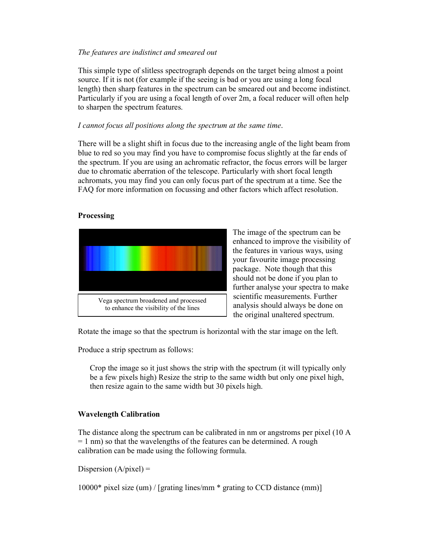# *The features are indistinct and smeared out*

This simple type of slitless spectrograph depends on the target being almost a point source. If it is not (for example if the seeing is bad or you are using a long focal length) then sharp features in the spectrum can be smeared out and become indistinct. Particularly if you are using a focal length of over 2m, a focal reducer will often help to sharpen the spectrum features.

## *I cannot focus all positions along the spectrum at the same time*.

There will be a slight shift in focus due to the increasing angle of the light beam from blue to red so you may find you have to compromise focus slightly at the far ends of the spectrum. If you are using an achromatic refractor, the focus errors will be larger due to chromatic aberration of the telescope. Particularly with short focal length achromats, you may find you can only focus part of the spectrum at a time. See the FAQ for more information on focussing and other factors which affect resolution.

# **Processing**



The image of the spectrum can be enhanced to improve the visibility of the features in various ways, using your favourite image processing package. Note though that this should not be done if you plan to further analyse your spectra to make scientific measurements. Further analysis should always be done on the original unaltered spectrum.

Rotate the image so that the spectrum is horizontal with the star image on the left.

Produce a strip spectrum as follows:

Crop the image so it just shows the strip with the spectrum (it will typically only be a few pixels high) Resize the strip to the same width but only one pixel high, then resize again to the same width but 30 pixels high.

# **Wavelength Calibration**

The distance along the spectrum can be calibrated in nm or angstroms per pixel (10 A  $= 1$  nm) so that the wavelengths of the features can be determined. A rough calibration can be made using the following formula.

Dispersion  $(A/pixel)$  =

10000\* pixel size (um) / [grating lines/mm \* grating to CCD distance (mm)]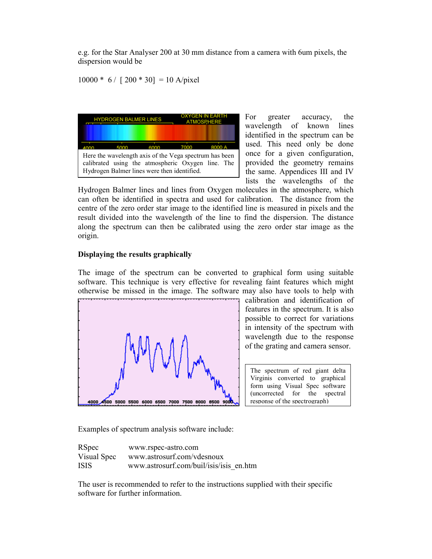e.g. for the Star Analyser 200 at 30 mm distance from a camera with 6um pixels, the dispersion would be

 $10000 * 6 / [200 * 30] = 10$  A/pixel



For greater accuracy, the wavelength of known lines identified in the spectrum can be used. This need only be done once for a given configuration, provided the geometry remains the same. Appendices III and IV lists the wavelengths of the

Hydrogen Balmer lines and lines from Oxygen molecules in the atmosphere, which can often be identified in spectra and used for calibration. The distance from the centre of the zero order star image to the identified line is measured in pixels and the result divided into the wavelength of the line to find the dispersion. The distance along the spectrum can then be calibrated using the zero order star image as the origin.

# **Displaying the results graphically**

The image of the spectrum can be converted to graphical form using suitable software. This technique is very effective for revealing faint features which might otherwise be missed in the image. The software may also have tools to help with



calibration and identification of features in the spectrum. It is also possible to correct for variations in intensity of the spectrum with wavelength due to the response of the grating and camera sensor.

The spectrum of red giant delta Virginis converted to graphical form using Visual Spec software (uncorrected for the spectral response of the spectrograph)

Examples of spectrum analysis software include:

| <b>RSpec</b> | www.rspec-astro.com                     |
|--------------|-----------------------------------------|
| Visual Spec  | www.astrosurf.com/vdesnoux              |
| <b>ISIS</b>  | www.astrosurf.com/buil/isis/isis en.htm |

The user is recommended to refer to the instructions supplied with their specific software for further information.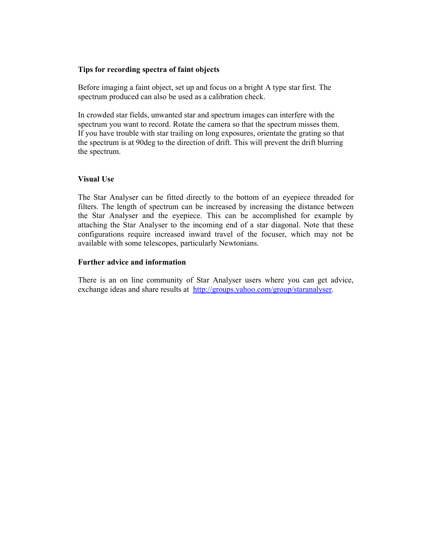## **Tips for recording spectra of faint objects**

Before imaging a faint object, set up and focus on a bright A type star first. The spectrum produced can also be used as a calibration check.

In crowded star fields, unwanted star and spectrum images can interfere with the spectrum you want to record. Rotate the camera so that the spectrum misses them. If you have trouble with star trailing on long exposures, orientate the grating so that the spectrum is at 90deg to the direction of drift. This will prevent the drift blurring the spectrum.

## **Visual Use**

The Star Analyser can be fitted directly to the bottom of an eyepiece threaded for filters. The length of spectrum can be increased by increasing the distance between the Star Analyser and the eyepiece. This can be accomplished for example by attaching the Star Analyser to the incoming end of a star diagonal. Note that these configurations require increased inward travel of the focuser, which may not be available with some telescopes, particularly Newtonians.

## **Further advice and information**

There is an on line community of Star Analyser users where you can get advice, exchange ideas and share results at http://groups.yahoo.com/group/staranalyser.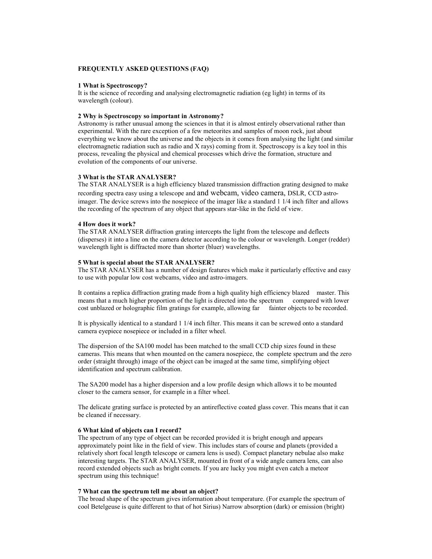#### **FREQUENTLY ASKED QUESTIONS (FAQ)**

#### **1 What is Spectroscopy?**

It is the science of recording and analysing electromagnetic radiation (eg light) in terms of its wavelength (colour).

### **2 Why is Spectroscopy so important in Astronomy?**

Astronomy is rather unusual among the sciences in that it is almost entirely observational rather than experimental. With the rare exception of a few meteorites and samples of moon rock, just about everything we know about the universe and the objects in it comes from analysing the light (and similar electromagnetic radiation such as radio and X rays) coming from it. Spectroscopy is a key tool in this process, revealing the physical and chemical processes which drive the formation, structure and evolution of the components of our universe.

#### **3 What is the STAR ANALYSER?**

The STAR ANALYSER is a high efficiency blazed transmission diffraction grating designed to make recording spectra easy using a telescope and and webcam, video camera, DSLR, CCD astroimager. The device screws into the nosepiece of the imager like a standard 1 1/4 inch filter and allows the recording of the spectrum of any object that appears star-like in the field of view.

#### **4 How does it work?**

The STAR ANALYSER diffraction grating intercepts the light from the telescope and deflects (disperses) it into a line on the camera detector according to the colour or wavelength. Longer (redder) wavelength light is diffracted more than shorter (bluer) wavelengths.

#### **5 What is special about the STAR ANALYSER?**

The STAR ANALYSER has a number of design features which make it particularly effective and easy to use with popular low cost webcams, video and astro-imagers.

It contains a replica diffraction grating made from a high quality high efficiency blazed master. This means that a much higher proportion of the light is directed into the spectrum compared with lower cost unblazed or holographic film gratings for example, allowing far fainter objects to be recorded.

It is physically identical to a standard 1 1/4 inch filter. This means it can be screwed onto a standard camera eyepiece nosepiece or included in a filter wheel.

The dispersion of the SA100 model has been matched to the small CCD chip sizes found in these cameras. This means that when mounted on the camera nosepiece, the complete spectrum and the zero order (straight through) image of the object can be imaged at the same time, simplifying object identification and spectrum calibration.

The SA200 model has a higher dispersion and a low profile design which allows it to be mounted closer to the camera sensor, for example in a filter wheel.

The delicate grating surface is protected by an antireflective coated glass cover. This means that it can be cleaned if necessary.

#### **6 What kind of objects can I record?**

The spectrum of any type of object can be recorded provided it is bright enough and appears approximately point like in the field of view. This includes stars of course and planets (provided a relatively short focal length telescope or camera lens is used). Compact planetary nebulae also make interesting targets. The STAR ANALYSER, mounted in front of a wide angle camera lens, can also record extended objects such as bright comets. If you are lucky you might even catch a meteor spectrum using this technique!

#### **7 What can the spectrum tell me about an object?**

The broad shape of the spectrum gives information about temperature. (For example the spectrum of cool Betelgeuse is quite different to that of hot Sirius) Narrow absorption (dark) or emission (bright)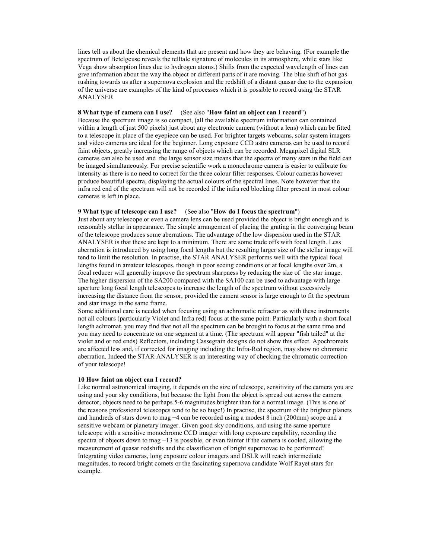lines tell us about the chemical elements that are present and how they are behaving. (For example the spectrum of Betelgeuse reveals the telltale signature of molecules in its atmosphere, while stars like Vega show absorption lines due to hydrogen atoms.) Shifts from the expected wavelength of lines can give information about the way the object or different parts of it are moving. The blue shift of hot gas rushing towards us after a supernova explosion and the redshift of a distant quasar due to the expansion of the universe are examples of the kind of processes which it is possible to record using the STAR ANALYSER

## **8 What type of camera can I use?** (See also "**How faint an object can I record**")

Because the spectrum image is so compact, (all the available spectrum information can contained within a length of just 500 pixels) just about any electronic camera (without a lens) which can be fitted to a telescope in place of the eyepiece can be used. For brighter targets webcams, solar system imagers and video cameras are ideal for the beginner. Long exposure CCD astro cameras can be used to record faint objects, greatly increasing the range of objects which can be recorded. Megapixel digital SLR cameras can also be used and the large sensor size means that the spectra of many stars in the field can be imaged simultaneously. For precise scientific work a monochrome camera is easier to calibrate for intensity as there is no need to correct for the three colour filter responses. Colour cameras however produce beautiful spectra, displaying the actual colours of the spectral lines. Note however that the infra red end of the spectrum will not be recorded if the infra red blocking filter present in most colour cameras is left in place.

#### **9 What type of telescope can I use?** (See also "**How do I focus the spectrum**")

Just about any telescope or even a camera lens can be used provided the object is bright enough and is reasonably stellar in appearance. The simple arrangement of placing the grating in the converging beam of the telescope produces some aberrations. The advantage of the low dispersion used in the STAR ANALYSER is that these are kept to a minimum. There are some trade offs with focal length. Less aberration is introduced by using long focal lengths but the resulting larger size of the stellar image will tend to limit the resolution. In practise, the STAR ANALYSER performs well with the typical focal lengths found in amateur telescopes, though in poor seeing conditions or at focal lengths over 2m, a focal reducer will generally improve the spectrum sharpness by reducing the size of the star image. The higher dispersion of the SA200 compared with the SA100 can be used to advantage with large aperture long focal length telescopes to increase the length of the spectrum without excessively increasing the distance from the sensor, provided the camera sensor is large enough to fit the spectrum and star image in the same frame.

Some additional care is needed when focusing using an achromatic refractor as with these instruments not all colours (particularly Violet and Infra red) focus at the same point. Particularly with a short focal length achromat, you may find that not all the spectrum can be brought to focus at the same time and you may need to concentrate on one segment at a time. (The spectrum will appear "fish tailed" at the violet and or red ends) Reflectors, including Cassegrain designs do not show this effect. Apochromats are affected less and, if corrected for imaging including the Infra-Red region, may show no chromatic aberration. Indeed the STAR ANALYSER is an interesting way of checking the chromatic correction of your telescope!

#### **10 How faint an object can I record?**

Like normal astronomical imaging, it depends on the size of telescope, sensitivity of the camera you are using and your sky conditions, but because the light from the object is spread out across the camera detector, objects need to be perhaps 5-6 magnitudes brighter than for a normal image. (This is one of the reasons professional telescopes tend to be so huge!) In practise, the spectrum of the brighter planets and hundreds of stars down to mag +4 can be recorded using a modest 8 inch (200mm) scope and a sensitive webcam or planetary imager. Given good sky conditions, and using the same aperture telescope with a sensitive monochrome CCD imager with long exposure capability, recording the spectra of objects down to mag +13 is possible, or even fainter if the camera is cooled, allowing the measurement of quasar redshifts and the classification of bright supernovae to be performed! Integrating video cameras, long exposure colour imagers and DSLR will reach intermediate magnitudes, to record bright comets or the fascinating supernova candidate Wolf Rayet stars for example.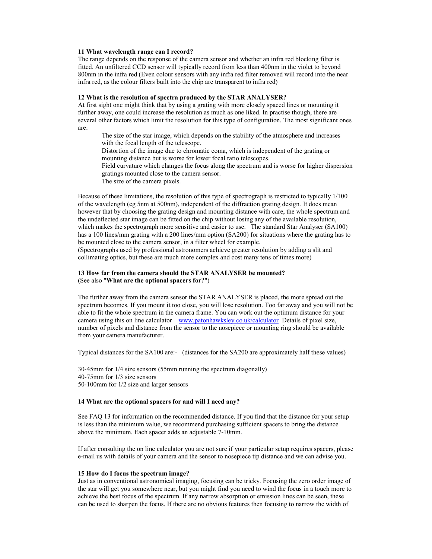#### **11 What wavelength range can I record?**

The range depends on the response of the camera sensor and whether an infra red blocking filter is fitted. An unfiltered CCD sensor will typically record from less than 400nm in the violet to beyond 800nm in the infra red (Even colour sensors with any infra red filter removed will record into the near infra red, as the colour filters built into the chip are transparent to infra red)

#### **12 What is the resolution of spectra produced by the STAR ANALYSER?**

At first sight one might think that by using a grating with more closely spaced lines or mounting it further away, one could increase the resolution as much as one liked. In practise though, there are several other factors which limit the resolution for this type of configuration. The most significant ones are:

The size of the star image, which depends on the stability of the atmosphere and increases with the focal length of the telescope.

Distortion of the image due to chromatic coma, which is independent of the grating or mounting distance but is worse for lower focal ratio telescopes.

Field curvature which changes the focus along the spectrum and is worse for higher dispersion gratings mounted close to the camera sensor.

The size of the camera pixels.

Because of these limitations, the resolution of this type of spectrograph is restricted to typically 1/100 of the wavelength (eg 5nm at 500nm), independent of the diffraction grating design. It does mean however that by choosing the grating design and mounting distance with care, the whole spectrum and the undeflected star image can be fitted on the chip without losing any of the available resolution, which makes the spectrograph more sensitive and easier to use. The standard Star Analyser (SA100) has a 100 lines/mm grating with a 200 lines/mm option (SA200) for situations where the grating has to be mounted close to the camera sensor, in a filter wheel for example.

(Spectrographs used by professional astronomers achieve greater resolution by adding a slit and collimating optics, but these are much more complex and cost many tens of times more)

### **13 How far from the camera should the STAR ANALYSER be mounted?**  (See also "**What are the optional spacers for?**")

The further away from the camera sensor the STAR ANALYSER is placed, the more spread out the spectrum becomes. If you mount it too close, you will lose resolution. Too far away and you will not be able to fit the whole spectrum in the camera frame. You can work out the optimum distance for your camera using this on line calculator www.patonhawksley.co.uk/calculator Details of pixel size, number of pixels and distance from the sensor to the nosepiece or mounting ring should be available from your camera manufacturer.

Typical distances for the SA100 are:- (distances for the SA200 are approximately half these values)

30-45mm for 1/4 size sensors (55mm running the spectrum diagonally) 40-75mm for 1/3 size sensors 50-100mm for 1/2 size and larger sensors

#### **14 What are the optional spacers for and will I need any?**

See FAQ 13 for information on the recommended distance. If you find that the distance for your setup is less than the minimum value, we recommend purchasing sufficient spacers to bring the distance above the minimum. Each spacer adds an adjustable 7-10mm.

If after consulting the on line calculator you are not sure if your particular setup requires spacers, please e-mail us with details of your camera and the sensor to nosepiece tip distance and we can advise you.

#### **15 How do I focus the spectrum image?**

Just as in conventional astronomical imaging, focusing can be tricky. Focusing the zero order image of the star will get you somewhere near, but you might find you need to wind the focus in a touch more to achieve the best focus of the spectrum. If any narrow absorption or emission lines can be seen, these can be used to sharpen the focus. If there are no obvious features then focusing to narrow the width of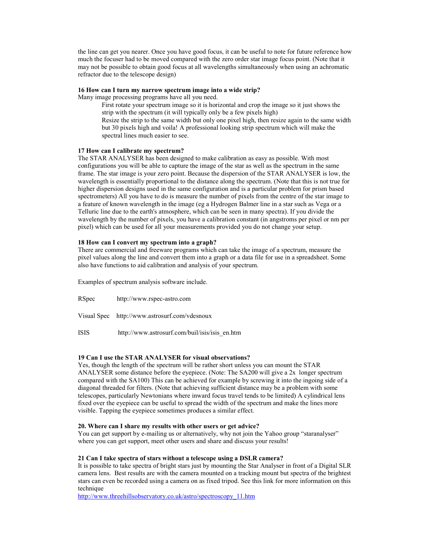the line can get you nearer. Once you have good focus, it can be useful to note for future reference how much the focuser had to be moved compared with the zero order star image focus point. (Note that it may not be possible to obtain good focus at all wavelengths simultaneously when using an achromatic refractor due to the telescope design)

#### **16 How can I turn my narrow spectrum image into a wide strip?**

Many image processing programs have all you need.

First rotate your spectrum image so it is horizontal and crop the image so it just shows the strip with the spectrum (it will typically only be a few pixels high) Resize the strip to the same width but only one pixel high, then resize again to the same width

but 30 pixels high and voila! A professional looking strip spectrum which will make the spectral lines much easier to see.

#### **17 How can I calibrate my spectrum?**

The STAR ANALYSER has been designed to make calibration as easy as possible. With most configurations you will be able to capture the image of the star as well as the spectrum in the same frame. The star image is your zero point. Because the dispersion of the STAR ANALYSER is low, the wavelength is essentially proportional to the distance along the spectrum. (Note that this is not true for higher dispersion designs used in the same configuration and is a particular problem for prism based spectrometers) All you have to do is measure the number of pixels from the centre of the star image to a feature of known wavelength in the image (eg a Hydrogen Balmer line in a star such as Vega or a Telluric line due to the earth's atmosphere, which can be seen in many spectra). If you divide the wavelength by the number of pixels, you have a calibration constant (in angstroms per pixel or nm per pixel) which can be used for all your measurements provided you do not change your setup.

#### **18 How can I convert my spectrum into a graph?**

There are commercial and freeware programs which can take the image of a spectrum, measure the pixel values along the line and convert them into a graph or a data file for use in a spreadsheet. Some also have functions to aid calibration and analysis of your spectrum.

Examples of spectrum analysis software include.

RSpec http://www.rspec-astro.com Visual Spec http://www.astrosurf.com/vdesnoux ISIS http://www.astrosurf.com/buil/isis/isis\_en.htm

#### **19 Can I use the STAR ANALYSER for visual observations?**

Yes, though the length of the spectrum will be rather short unless you can mount the STAR ANALYSER some distance before the eyepiece. (Note: The SA200 will give a 2x longer spectrum compared with the SA100) This can be achieved for example by screwing it into the ingoing side of a diagonal threaded for filters. (Note that achieving sufficient distance may be a problem with some telescopes, particularly Newtonians where inward focus travel tends to be limited) A cylindrical lens fixed over the eyepiece can be useful to spread the width of the spectrum and make the lines more visible. Tapping the eyepiece sometimes produces a similar effect.

#### **20. Where can I share my results with other users or get advice?**

You can get support by e-mailing us or alternatively, why not join the Yahoo group "staranalyser" where you can get support, meet other users and share and discuss your results!

#### **21 Can I take spectra of stars without a telescope using a DSLR camera?**

It is possible to take spectra of bright stars just by mounting the Star Analyser in front of a Digital SLR camera lens. Best results are with the camera mounted on a tracking mount but spectra of the brightest stars can even be recorded using a camera on as fixed tripod. See this link for more information on this technique

http://www.threehillsobservatory.co.uk/astro/spectroscopy\_11.htm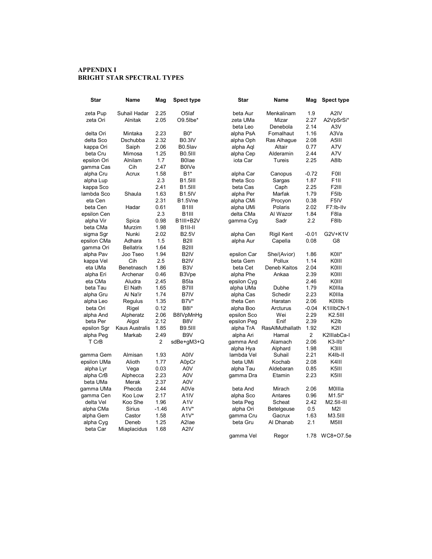## **APPENDIX I BRIGHT STAR SPECTRAL TYPES**

| Star        | Name                  | Mag     | Spect type           | Star        | Name              | Mag            | <b>Spect type</b>             |
|-------------|-----------------------|---------|----------------------|-------------|-------------------|----------------|-------------------------------|
| zeta Pup    | Suhail Hadar          | 2.25    | O <sub>5</sub> laf   | beta Aur    | Menkalinam        | 1.9            | A2IV                          |
| zeta Ori    | Alnitak               | 2.05    | O9.5lbe*             | zeta UMa    | Mizar             | 2.27           | A2VpSrSi*                     |
|             |                       |         |                      | beta Leo    | Denebola          | 2.14           | A3V                           |
| delta Ori   | Mintaka               | 2.23    | B0*                  | alpha PsA   | Fomalhaut         | 1.16           | A3Va                          |
| delta Sco   | Dschubba              | 2.32    | <b>B0.3IV</b>        | alpha Oph   | Ras Alhague       | 2.08           | A5III                         |
| kappa Ori   | Saiph                 | 2.06    | B0.5lav              | alpha Aql   | Altair            | 0.77           | A7V                           |
| beta Cru    | Mimosa                | 1.25    | <b>B0.5III</b>       | alpha Cep   | Alderamin         | 2.44           | A7V                           |
| epsilon Ori | Alnilam               | 1.7     | <b>B0lae</b>         | iota Car    | Tureis            | 2.25           | A8lb                          |
| gamma Cas   | Cih                   | 2.47    | <b>B0IVe</b>         |             |                   |                |                               |
| alpha Cru   | Acrux                 | 1.58    | B1*                  | alpha Car   | Canopus           | -0.72          | <b>F0II</b>                   |
| alpha Lup   |                       | 2.3     | <b>B1.5III</b>       | theta Sco   | Sargas            | 1.87           | F <sub>1</sub> II             |
| kappa Sco   |                       | 2.41    | <b>B1.5III</b>       | beta Cas    | Caph              | 2.25           | <b>F2III</b>                  |
| lambda Sco  | Shaula                | 1.63    | <b>B1.5IV</b>        | alpha Per   | Marfak            | 1.79           | F5lb                          |
| eta Cen     |                       | 2.31    | B1.5Vne              | alpha CMi   | Procyon           | 0.38           | F <sub>5IV</sub>              |
| beta Cen    | Hadar                 | 0.61    | B <sub>1</sub>       | alpha UMi   | Polaris           | 2.02           | F7:Ib-IIv                     |
| epsilon Cen |                       | 2.3     | B <sub>1</sub>       | delta CMa   | Al Wazor          | 1.84           | F8la                          |
| alpha Vir   | Spica                 | 0.98    | B1III+B2V            | gamma Cyg   | Sadr              | 2.2            | F8lb                          |
| beta CMa    | Murzim                | 1.98    | B <sub>1</sub> II-II |             |                   |                |                               |
| sigma Sgr   | Nunki                 | 2.02    | <b>B2.5V</b>         | alpha Cen   | <b>Rigil Kent</b> | $-0.01$        | G2V+K1V                       |
| epsilon CMa | Adhara                | 1.5     | <b>B2II</b>          | alpha Aur   | Capella           | 0.08           | G8                            |
| gamma Ori   | <b>Bellatrix</b>      | 1.64    | B <sub>2</sub> III   |             |                   |                |                               |
| alpha Pav   | Joo Tseo              | 1.94    | B <sub>2</sub> IV    | epsilon Car | She/(Avior)       | 1.86           | K0II*                         |
| kappa Vel   | Cih                   | 2.5     | B <sub>2</sub> IV    | beta Gem    | Pollux            | 1.14           | KOIII                         |
| eta UMa     | Benetnasch            | 1.86    | B <sub>3</sub> V     | beta Cet    | Deneb Kaitos      | 2.04           | KOIII                         |
| alpha Eri   | Archenar              | 0.46    | B3Vpe                | alpha Phe   | Ankaa             | 2.39           | KOIII                         |
| eta CMa     | Aludra                | 2.45    | B <sub>5</sub> la    | epsilon Cyg |                   | 2.46           | KOIII                         |
| beta Tau    | El Nath               | 1.65    | B7III                | alpha UMa   | Dubhe             | 1.79           | K0IIIa                        |
| alpha Gru   | Al Na'ir              | 1.74    | B7IV                 | alpha Cas   | Schedir           | 2.23           | K0IIIa                        |
| alpha Leo   | Regulus               | 1.35    | B7V*                 | theta Cen   | Haratan           | 2.06           | KOIIIb                        |
| beta Ori    | Rigel                 | 0.12    | <b>B8I*</b>          | alpha Boo   | Arcturus          | $-0.04$        | K1IIIbCN-1                    |
| alpha And   | Alpheratz             | 2.06    | B8IVpMnHg            | epsilon Sco | Wei               | 2.29           | K2.5III                       |
| beta Per    | Algol                 | 2.12    | B8V                  | epsilon Peg | Enif              | 2.39           | K <sub>2</sub> I <sub>b</sub> |
| epsilon Sgr | <b>Kaus Australis</b> | 1.85    | <b>B9.5III</b>       | alpha TrA   | RasAlMuthallath   | 1.92           | K2II                          |
| alpha Peg   | Markab                | 2.49    | B <sub>9</sub> V     | alpha Ari   | Hamal             | $\overline{2}$ | K2IIIabCa-I                   |
| T CrB       |                       | 2       | sdBe+gM3+Q           | gamma And   | Alamach           | 2.06           | K3-IIb*                       |
|             |                       |         |                      | alpha Hya   | Alphard           | 1.98           | K3III                         |
| gamma Gem   | Almisan               | 1.93    | A0IV                 | lambda Vel  | Suhail            | 2.21           | K4Ib-II                       |
| epsilon UMa | Alioth                | 1.77    | A0pCr                | beta UMi    | Kochab            | 2.08           | K4III                         |
| alpha Lyr   | Vega                  | 0.03    | A0V                  | alpha Tau   | Aldebaran         | 0.85           | K <sub>5</sub> III            |
| alpha CrB   | Alphecca              | 2.23    | A0V                  | gamma Dra   | Etamin            | 2.23           | K <sub>5</sub> III            |
| beta UMa    | Merak                 | 2.37    | A0V                  |             |                   |                |                               |
|             | Phecda                | 2.44    | A0Ve                 | beta And    |                   | 2.06           | MOIIIa                        |
| gamma UMa   |                       | 2.17    | A <sub>1</sub> IV    |             | Mirach            | 0.96           |                               |
| gamma Cen   | Koo Low               |         |                      | alpha Sco   | Antares           |                | M1.5I*                        |
| delta Vel   | Koo She               | 1.96    | A <sub>1</sub> V     | beta Peg    | Scheat            | 2.42           | M2.5II-III                    |
| alpha CMa   | Sirius                | $-1.46$ | $A1V^*$              | alpha Ori   | Betelgeuse        | 0.5            | M21                           |
| alpha Gem   | Castor                | 1.58    | A1V*                 | gamma Cru   | Gacrux            | 1.63           | M3.5III                       |
| alpha Cyg   | Deneb                 | 1.25    | A <sub>2</sub> lae   | beta Gru    | Al Dhanab         | 2.1            | M5III                         |
| beta Car    | Miaplacidus           | 1.68    | A <sub>2</sub> IV    |             |                   |                |                               |
|             |                       |         |                      | gamma Vel   | Regor             | 1.78           | WC8+O7.5e                     |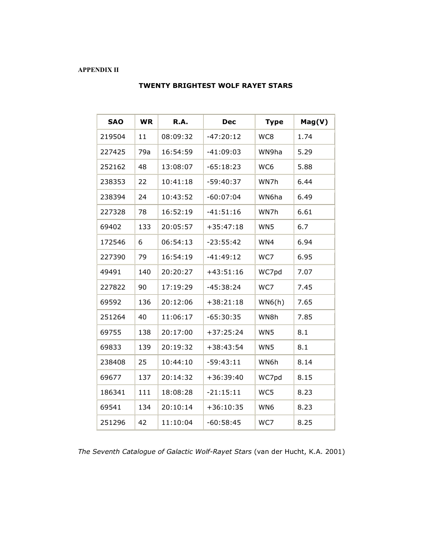## **APPENDIX II**

| <b>SAO</b> | <b>WR</b> | R.A.     | <b>Dec</b>  | <b>Type</b> | Mag(V) |
|------------|-----------|----------|-------------|-------------|--------|
| 219504     | 11        | 08:09:32 | $-47:20:12$ | WC8         | 1.74   |
| 227425     | 79a       | 16:54:59 | $-41:09:03$ | WN9ha       | 5.29   |
| 252162     | 48        | 13:08:07 | $-65:18:23$ | WC6         | 5.88   |
| 238353     | 22        | 10:41:18 | $-59:40:37$ | WN7h        | 6.44   |
| 238394     | 24        | 10:43:52 | $-60:07:04$ | WN6ha       | 6.49   |
| 227328     | 78        | 16:52:19 | $-41:51:16$ | WN7h        | 6.61   |
| 69402      | 133       | 20:05:57 | $+35:47:18$ | WN5         | 6.7    |
| 172546     | 6         | 06:54:13 | $-23:55:42$ | WN4         | 6.94   |
| 227390     | 79        | 16:54:19 | $-41:49:12$ | WC7         | 6.95   |
| 49491      | 140       | 20:20:27 | $+43:51:16$ | WC7pd       | 7.07   |
| 227822     | 90        | 17:19:29 | $-45:38:24$ | WC7         | 7.45   |
| 69592      | 136       | 20:12:06 | $+38:21:18$ | WN6(h)      | 7.65   |
| 251264     | 40        | 11:06:17 | $-65:30:35$ | WN8h        | 7.85   |
| 69755      | 138       | 20:17:00 | $+37:25:24$ | WN5         | 8.1    |
| 69833      | 139       | 20:19:32 | $+38:43:54$ | WN5         | 8.1    |
| 238408     | 25        | 10:44:10 | $-59:43:11$ | WN6h        | 8.14   |
| 69677      | 137       | 20:14:32 | $+36:39:40$ | WC7pd       | 8.15   |
| 186341     | 111       | 18:08:28 | $-21:15:11$ | WC5         | 8.23   |
| 69541      | 134       | 20:10:14 | $+36:10:35$ | WN6         | 8.23   |
| 251296     | 42        | 11:10:04 | $-60:58:45$ | WC7         | 8.25   |

# **TWENTY BRIGHTEST WOLF RAYET STARS**

*The Seventh Catalogue of Galactic Wolf-Rayet Stars* (van der Hucht, K.A. 2001)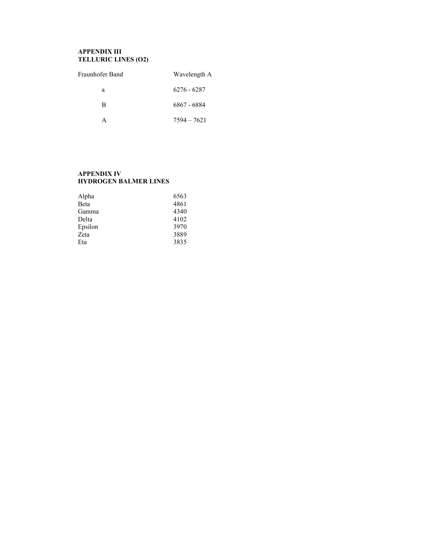# **APPENDIX III TELLURIC LINES (O2)**

| Fraunhofer Band | Wavelength A  |
|-----------------|---------------|
| a               | 6276 - 6287   |
| В               | 6867 - 6884   |
|                 | $7594 - 7621$ |

## **APPENDIX IV HYDROGEN BALMER LINES**

| Alpha   | 6563 |
|---------|------|
| Beta    | 4861 |
| Gamma   | 4340 |
| Delta   | 4102 |
| Epsilon | 3970 |
| Zeta    | 3889 |
| Eta     | 3835 |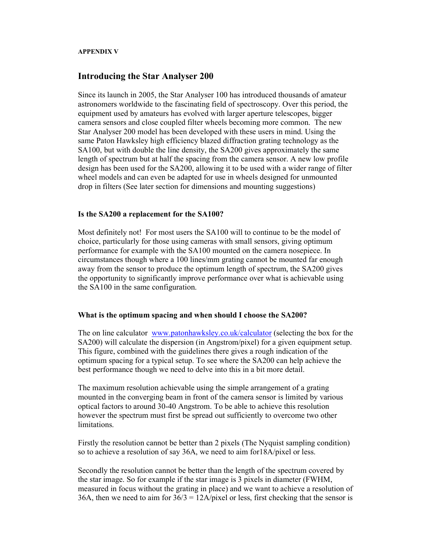## **APPENDIX V**

# **Introducing the Star Analyser 200**

Since its launch in 2005, the Star Analyser 100 has introduced thousands of amateur astronomers worldwide to the fascinating field of spectroscopy. Over this period, the equipment used by amateurs has evolved with larger aperture telescopes, bigger camera sensors and close coupled filter wheels becoming more common. The new Star Analyser 200 model has been developed with these users in mind. Using the same Paton Hawksley high efficiency blazed diffraction grating technology as the SA100, but with double the line density, the SA200 gives approximately the same length of spectrum but at half the spacing from the camera sensor. A new low profile design has been used for the SA200, allowing it to be used with a wider range of filter wheel models and can even be adapted for use in wheels designed for unmounted drop in filters (See later section for dimensions and mounting suggestions)

## **Is the SA200 a replacement for the SA100?**

Most definitely not! For most users the SA100 will to continue to be the model of choice, particularly for those using cameras with small sensors, giving optimum performance for example with the SA100 mounted on the camera nosepiece. In circumstances though where a 100 lines/mm grating cannot be mounted far enough away from the sensor to produce the optimum length of spectrum, the SA200 gives the opportunity to significantly improve performance over what is achievable using the SA100 in the same configuration.

## **What is the optimum spacing and when should I choose the SA200?**

The on line calculator www.patonhawksley.co.uk/calculator (selecting the box for the SA200) will calculate the dispersion (in Angstrom/pixel) for a given equipment setup. This figure, combined with the guidelines there gives a rough indication of the optimum spacing for a typical setup. To see where the SA200 can help achieve the best performance though we need to delve into this in a bit more detail.

The maximum resolution achievable using the simple arrangement of a grating mounted in the converging beam in front of the camera sensor is limited by various optical factors to around 30-40 Angstrom. To be able to achieve this resolution however the spectrum must first be spread out sufficiently to overcome two other limitations.

Firstly the resolution cannot be better than 2 pixels (The Nyquist sampling condition) so to achieve a resolution of say 36A, we need to aim for18A/pixel or less.

Secondly the resolution cannot be better than the length of the spectrum covered by the star image. So for example if the star image is 3 pixels in diameter (FWHM, measured in focus without the grating in place) and we want to achieve a resolution of 36A, then we need to aim for  $36/3 = 12A/p$  ixel or less, first checking that the sensor is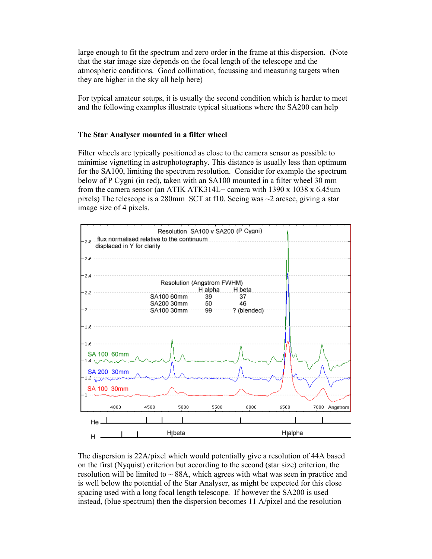large enough to fit the spectrum and zero order in the frame at this dispersion. (Note that the star image size depends on the focal length of the telescope and the atmospheric conditions. Good collimation, focussing and measuring targets when they are higher in the sky all help here)

For typical amateur setups, it is usually the second condition which is harder to meet and the following examples illustrate typical situations where the SA200 can help

## **The Star Analyser mounted in a filter wheel**

Filter wheels are typically positioned as close to the camera sensor as possible to minimise vignetting in astrophotography. This distance is usually less than optimum for the SA100, limiting the spectrum resolution. Consider for example the spectrum below of P Cygni (in red), taken with an SA100 mounted in a filter wheel 30 mm from the camera sensor (an ATIK ATK314L+ camera with 1390 x 1038 x 6.45um pixels) The telescope is a 280mm SCT at f10. Seeing was  $\sim$ 2 arcsec, giving a star image size of 4 pixels.



The dispersion is 22A/pixel which would potentially give a resolution of 44A based on the first (Nyquist) criterion but according to the second (star size) criterion, the resolution will be limited to  $\sim$  88A, which agrees with what was seen in practice and is well below the potential of the Star Analyser, as might be expected for this close spacing used with a long focal length telescope. If however the SA200 is used instead, (blue spectrum) then the dispersion becomes 11 A/pixel and the resolution